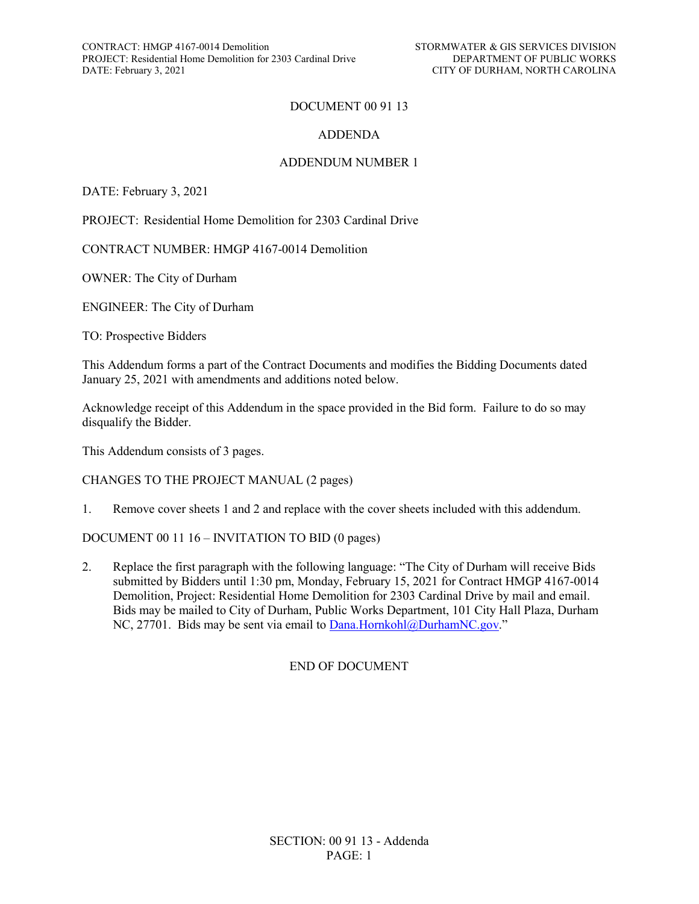### DOCUMENT 00 91 13

#### ADDENDA

### ADDENDUM NUMBER 1

DATE: February 3, 2021

PROJECT: Residential Home Demolition for 2303 Cardinal Drive

CONTRACT NUMBER: HMGP 4167-0014 Demolition

OWNER: The City of Durham

ENGINEER: The City of Durham

TO: Prospective Bidders

This Addendum forms a part of the Contract Documents and modifies the Bidding Documents dated January 25, 2021 with amendments and additions noted below.

Acknowledge receipt of this Addendum in the space provided in the Bid form. Failure to do so may disqualify the Bidder.

This Addendum consists of 3 pages.

CHANGES TO THE PROJECT MANUAL (2 pages)

1. Remove cover sheets 1 and 2 and replace with the cover sheets included with this addendum.

DOCUMENT 00 11 16 – INVITATION TO BID (0 pages)

2. Replace the first paragraph with the following language: "The City of Durham will receive Bids submitted by Bidders until 1:30 pm, Monday, February 15, 2021 for Contract HMGP 4167-0014 Demolition, Project: Residential Home Demolition for 2303 Cardinal Drive by mail and email. Bids may be mailed to City of Durham, Public Works Department, 101 City Hall Plaza, Durham NC, 27701. Bids may be sent via email to [Dana.Hornkohl@DurhamNC.gov."](mailto:Dana.Hornkohl@DurhamNC.gov)

#### END OF DOCUMENT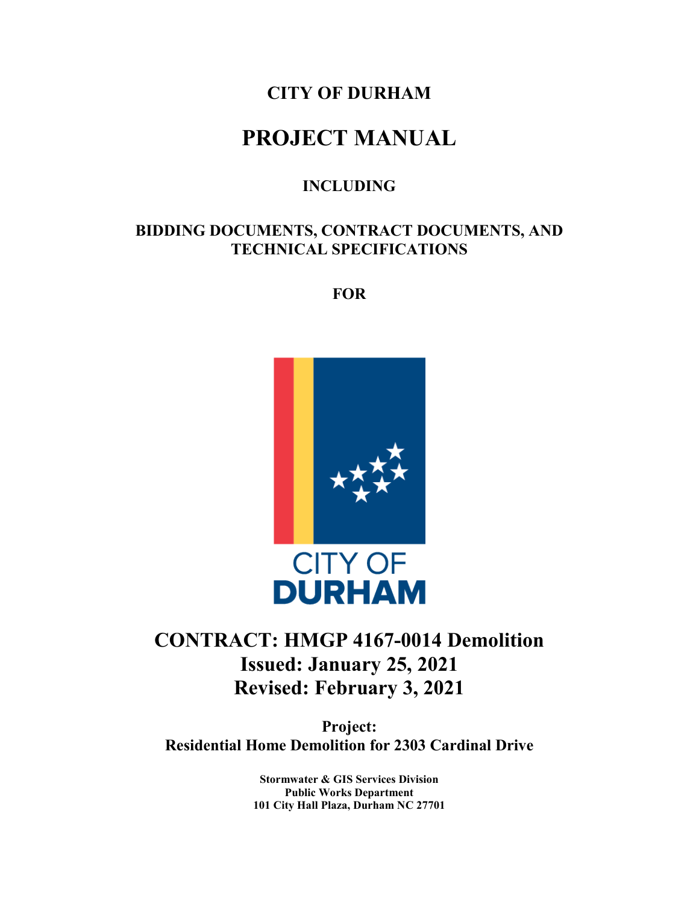## **CITY OF DURHAM**

# **PROJECT MANUAL**

### **INCLUDING**

### **BIDDING DOCUMENTS, CONTRACT DOCUMENTS, AND TECHNICAL SPECIFICATIONS**

**FOR**



## **CONTRACT: HMGP 4167-0014 Demolition Issued: January 25, 2021 Revised: February 3, 2021**

**Project: Residential Home Demolition for 2303 Cardinal Drive**

> **Stormwater & GIS Services Division Public Works Department 101 City Hall Plaza, Durham NC 27701**